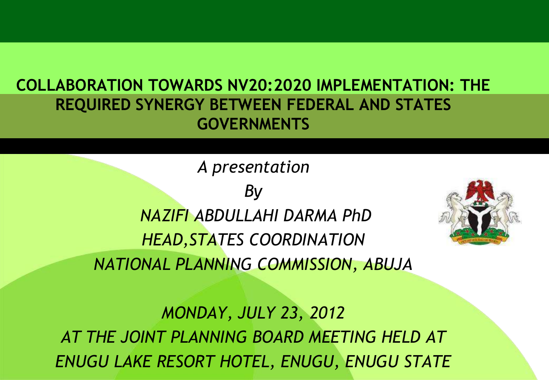#### **COLLABORATION TOWARDS NV20:2020 IMPLEMENTATION: THE REQUIRED SYNERGY BETWEEN FEDERAL AND STATES GOVERNMENTS**

*A presentation By NAZIFI ABDULLAHI DARMA PhD HEAD,STATES COORDINATION NATIONAL PLANNING COMMISSION, ABUJA* 



*MONDAY, JULY 23, 2012 AT THE JOINT PLANNING BOARD MEETING HELD AT ENUGU LAKE RESORT HOTEL, ENUGU, ENUGU STATE*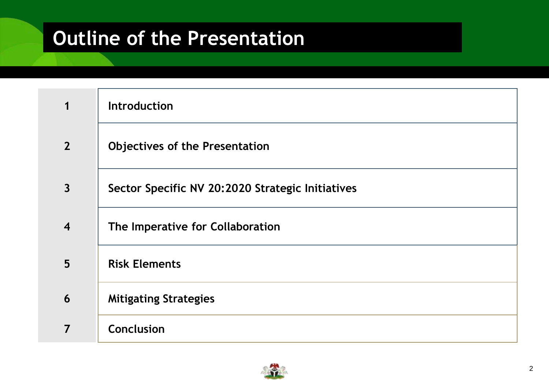#### **Outline of the Presentation**

|                         | Introduction                                     |
|-------------------------|--------------------------------------------------|
| $\overline{2}$          | <b>Objectives of the Presentation</b>            |
| $\overline{\mathbf{3}}$ | Sector Specific NV 20:2020 Strategic Initiatives |
| $\overline{\mathbf{4}}$ | The Imperative for Collaboration                 |
| 5                       | <b>Risk Elements</b>                             |
| 6                       | <b>Mitigating Strategies</b>                     |
| 7                       | Conclusion                                       |

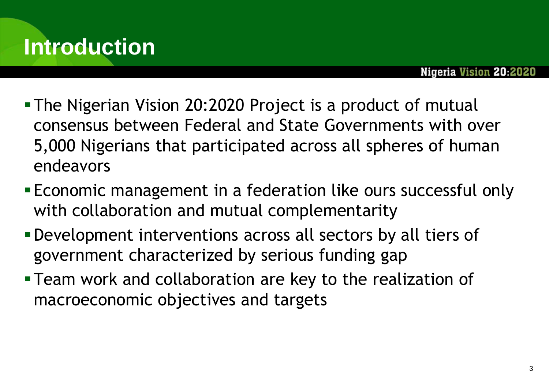

- The Nigerian Vision 20:2020 Project is a product of mutual consensus between Federal and State Governments with over 5,000 Nigerians that participated across all spheres of human endeavors
- Economic management in a federation like ours successful only with collaboration and mutual complementarity
- Development interventions across all sectors by all tiers of government characterized by serious funding gap
- Team work and collaboration are key to the realization of macroeconomic objectives and targets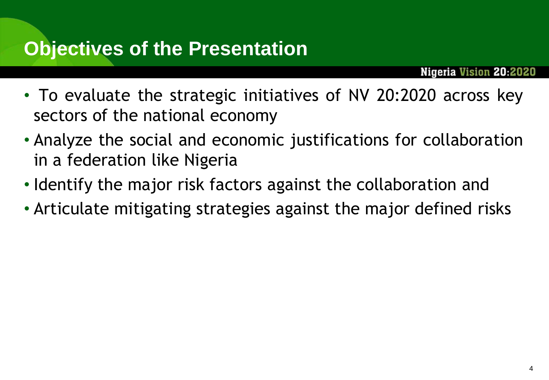#### **Objectives of the Presentation**

- To evaluate the strategic initiatives of NV 20:2020 across key sectors of the national economy
- Analyze the social and economic justifications for collaboration in a federation like Nigeria
- Identify the major risk factors against the collaboration and
- Articulate mitigating strategies against the major defined risks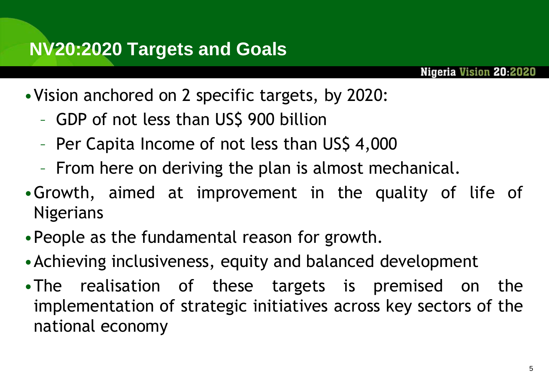#### **NV20:2020 Targets and Goals**

- •Vision anchored on 2 specific targets, by 2020:
	- GDP of not less than US\$ 900 billion
	- Per Capita Income of not less than US\$ 4,000
	- From here on deriving the plan is almost mechanical.
- •Growth, aimed at improvement in the quality of life of Nigerians
- •People as the fundamental reason for growth.
- •Achieving inclusiveness, equity and balanced development
- •The realisation of these targets is premised on the implementation of strategic initiatives across key sectors of the national economy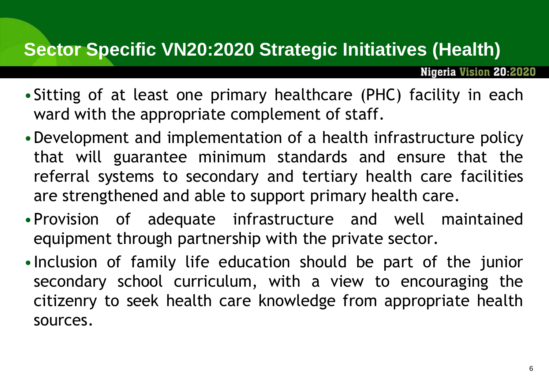#### **Sector Specific VN20:2020 Strategic Initiatives (Health)**

- •Sitting of at least one primary healthcare (PHC) facility in each ward with the appropriate complement of staff.
- •Development and implementation of a health infrastructure policy that will guarantee minimum standards and ensure that the referral systems to secondary and tertiary health care facilities are strengthened and able to support primary health care.
- •Provision of adequate infrastructure and well maintained equipment through partnership with the private sector.
- •Inclusion of family life education should be part of the junior secondary school curriculum, with a view to encouraging the citizenry to seek health care knowledge from appropriate health sources.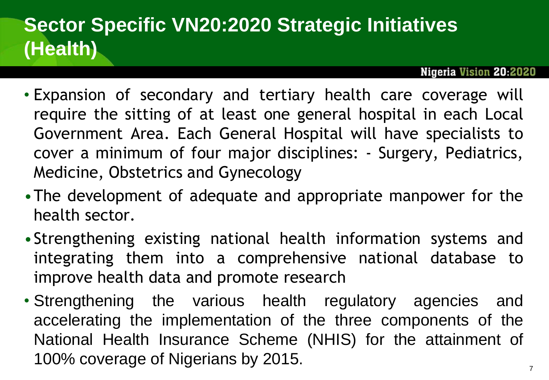## **Sector Specific VN20:2020 Strategic Initiatives (Health)**

- Expansion of secondary and tertiary health care coverage will require the sitting of at least one general hospital in each Local Government Area. Each General Hospital will have specialists to cover a minimum of four major disciplines: - Surgery, Pediatrics, Medicine, Obstetrics and Gynecology
- •The development of adequate and appropriate manpower for the health sector.
- •Strengthening existing national health information systems and integrating them into a comprehensive national database to improve health data and promote research
- Strengthening the various health regulatory agencies and accelerating the implementation of the three components of the National Health Insurance Scheme (NHIS) for the attainment of 100% coverage of Nigerians by 2015.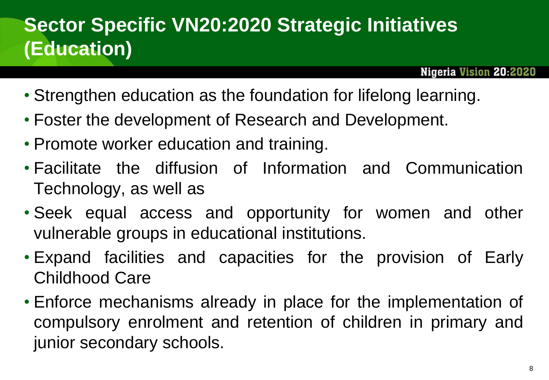#### **Sector Specific VN20:2020 Strategic Initiatives (Education)**

- Strengthen education as the foundation for lifelong learning.
- Foster the development of Research and Development.
- Promote worker education and training.
- Facilitate the diffusion of Information and Communication Technology, as well as
- Seek equal access and opportunity for women and other vulnerable groups in educational institutions.
- Expand facilities and capacities for the provision of Early Childhood Care
- Enforce mechanisms already in place for the implementation of compulsory enrolment and retention of children in primary and junior secondary schools.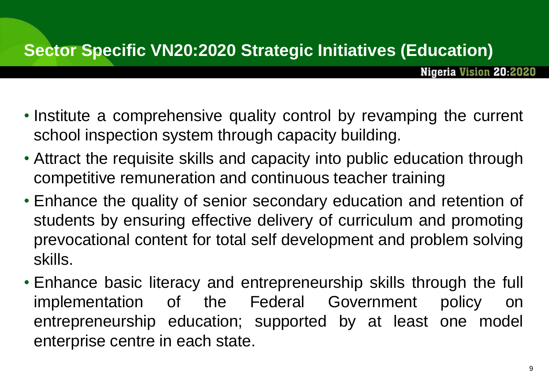- Institute a comprehensive quality control by revamping the current school inspection system through capacity building.
- Attract the requisite skills and capacity into public education through competitive remuneration and continuous teacher training
- Enhance the quality of senior secondary education and retention of students by ensuring effective delivery of curriculum and promoting prevocational content for total self development and problem solving skills.
- Enhance basic literacy and entrepreneurship skills through the full implementation of the Federal Government policy on entrepreneurship education; supported by at least one model enterprise centre in each state.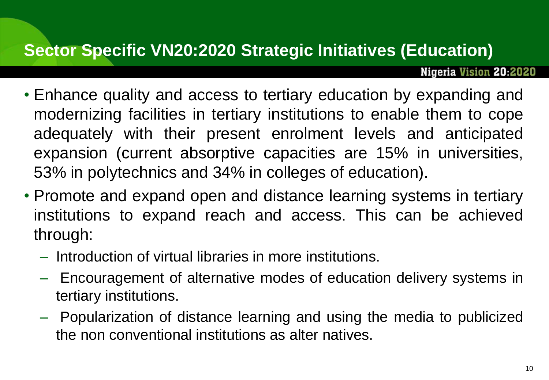#### **Sector Specific VN20:2020 Strategic Initiatives (Education)**

- Enhance quality and access to tertiary education by expanding and modernizing facilities in tertiary institutions to enable them to cope adequately with their present enrolment levels and anticipated expansion (current absorptive capacities are 15% in universities, 53% in polytechnics and 34% in colleges of education).
- Promote and expand open and distance learning systems in tertiary institutions to expand reach and access. This can be achieved through:
	- Introduction of virtual libraries in more institutions.
	- Encouragement of alternative modes of education delivery systems in tertiary institutions.
	- Popularization of distance learning and using the media to publicized the non conventional institutions as alter natives.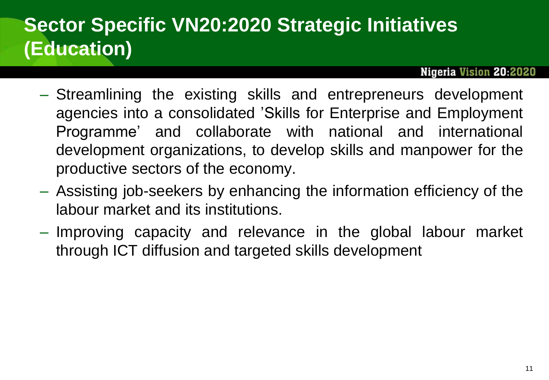#### **Sector Specific VN20:2020 Strategic Initiatives (Education)**

- Streamlining the existing skills and entrepreneurs development agencies into a consolidated 'Skills for Enterprise and Employment Programme' and collaborate with national and international development organizations, to develop skills and manpower for the productive sectors of the economy.
- Assisting job-seekers by enhancing the information efficiency of the labour market and its institutions.
- Improving capacity and relevance in the global labour market through ICT diffusion and targeted skills development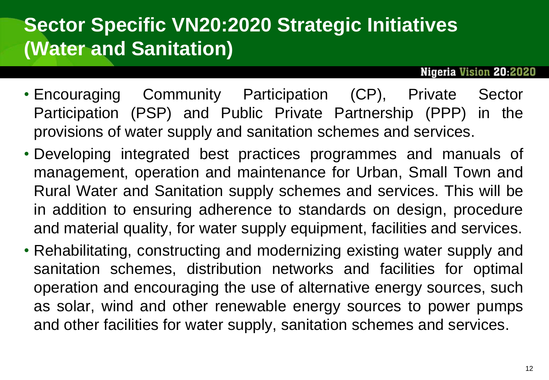- Encouraging Community Participation (CP), Private Sector Participation (PSP) and Public Private Partnership (PPP) in the provisions of water supply and sanitation schemes and services.
- Developing integrated best practices programmes and manuals of management, operation and maintenance for Urban, Small Town and Rural Water and Sanitation supply schemes and services. This will be in addition to ensuring adherence to standards on design, procedure and material quality, for water supply equipment, facilities and services.
- Rehabilitating, constructing and modernizing existing water supply and sanitation schemes, distribution networks and facilities for optimal operation and encouraging the use of alternative energy sources, such as solar, wind and other renewable energy sources to power pumps and other facilities for water supply, sanitation schemes and services.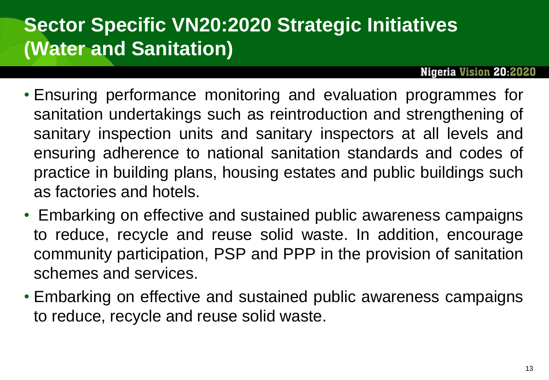- Ensuring performance monitoring and evaluation programmes for sanitation undertakings such as reintroduction and strengthening of sanitary inspection units and sanitary inspectors at all levels and ensuring adherence to national sanitation standards and codes of practice in building plans, housing estates and public buildings such as factories and hotels.
- Embarking on effective and sustained public awareness campaigns to reduce, recycle and reuse solid waste. In addition, encourage community participation, PSP and PPP in the provision of sanitation schemes and services.
- Embarking on effective and sustained public awareness campaigns to reduce, recycle and reuse solid waste.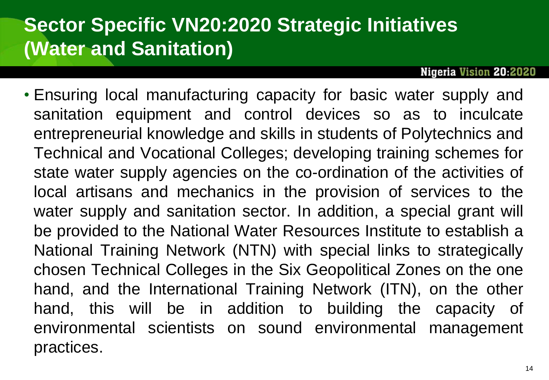**Nigeria Vision 20:2020** 

• Ensuring local manufacturing capacity for basic water supply and sanitation equipment and control devices so as to inculcate entrepreneurial knowledge and skills in students of Polytechnics and Technical and Vocational Colleges; developing training schemes for state water supply agencies on the co-ordination of the activities of local artisans and mechanics in the provision of services to the water supply and sanitation sector. In addition, a special grant will be provided to the National Water Resources Institute to establish a National Training Network (NTN) with special links to strategically chosen Technical Colleges in the Six Geopolitical Zones on the one hand, and the International Training Network (ITN), on the other hand, this will be in addition to building the capacity of environmental scientists on sound environmental management practices.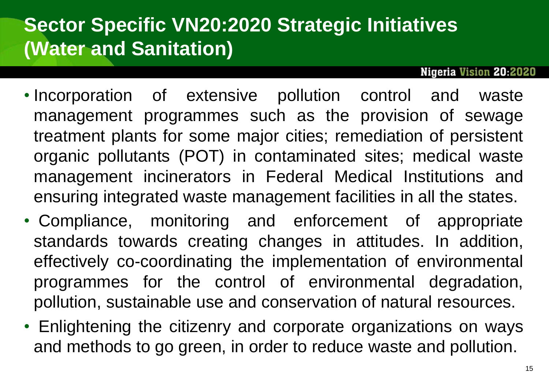- Incorporation of extensive pollution control and waste management programmes such as the provision of sewage treatment plants for some major cities; remediation of persistent organic pollutants (POT) in contaminated sites; medical waste management incinerators in Federal Medical Institutions and ensuring integrated waste management facilities in all the states.
- Compliance, monitoring and enforcement of appropriate standards towards creating changes in attitudes. In addition, effectively co-coordinating the implementation of environmental programmes for the control of environmental degradation, pollution, sustainable use and conservation of natural resources.
- Enlightening the citizenry and corporate organizations on ways and methods to go green, in order to reduce waste and pollution.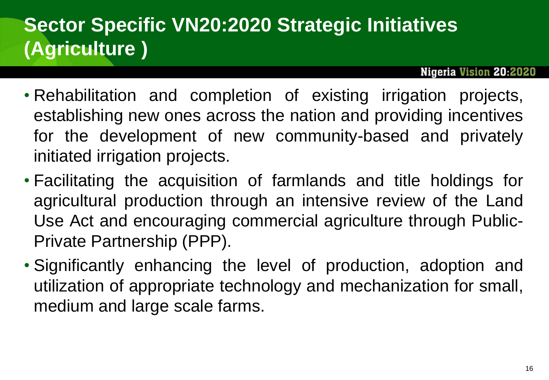## **Sector Specific VN20:2020 Strategic Initiatives (Agriculture )**

- Rehabilitation and completion of existing irrigation projects, establishing new ones across the nation and providing incentives for the development of new community-based and privately initiated irrigation projects.
- Facilitating the acquisition of farmlands and title holdings for agricultural production through an intensive review of the Land Use Act and encouraging commercial agriculture through Public-Private Partnership (PPP).
- Significantly enhancing the level of production, adoption and utilization of appropriate technology and mechanization for small, medium and large scale farms.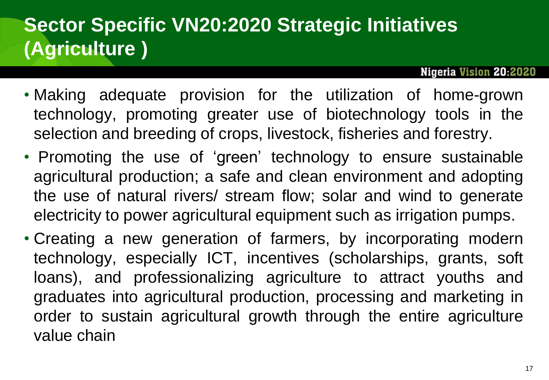## **Sector Specific VN20:2020 Strategic Initiatives (Agriculture )**

- Making adequate provision for the utilization of home-grown technology, promoting greater use of biotechnology tools in the selection and breeding of crops, livestock, fisheries and forestry.
- Promoting the use of 'green' technology to ensure sustainable agricultural production; a safe and clean environment and adopting the use of natural rivers/ stream flow; solar and wind to generate electricity to power agricultural equipment such as irrigation pumps.
- Creating a new generation of farmers, by incorporating modern technology, especially ICT, incentives (scholarships, grants, soft loans), and professionalizing agriculture to attract youths and graduates into agricultural production, processing and marketing in order to sustain agricultural growth through the entire agriculture value chain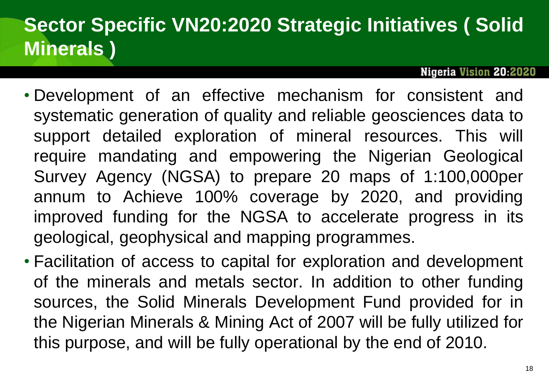## **Sector Specific VN20:2020 Strategic Initiatives ( Solid Minerals )**

- Development of an effective mechanism for consistent and systematic generation of quality and reliable geosciences data to support detailed exploration of mineral resources. This will require mandating and empowering the Nigerian Geological Survey Agency (NGSA) to prepare 20 maps of 1:100,000per annum to Achieve 100% coverage by 2020, and providing improved funding for the NGSA to accelerate progress in its geological, geophysical and mapping programmes.
- Facilitation of access to capital for exploration and development of the minerals and metals sector. In addition to other funding sources, the Solid Minerals Development Fund provided for in the Nigerian Minerals & Mining Act of 2007 will be fully utilized for this purpose, and will be fully operational by the end of 2010.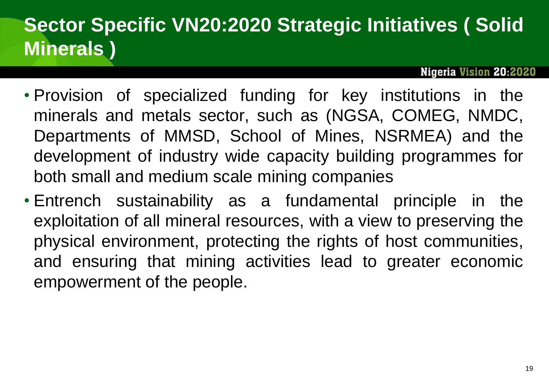## **Sector Specific VN20:2020 Strategic Initiatives ( Solid Minerals )**

- Provision of specialized funding for key institutions in the minerals and metals sector, such as (NGSA, COMEG, NMDC, Departments of MMSD, School of Mines, NSRMEA) and the development of industry wide capacity building programmes for both small and medium scale mining companies
- Entrench sustainability as a fundamental principle in the exploitation of all mineral resources, with a view to preserving the physical environment, protecting the rights of host communities, and ensuring that mining activities lead to greater economic empowerment of the people.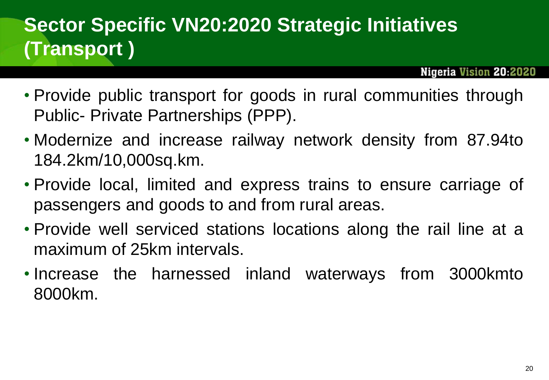## **Sector Specific VN20:2020 Strategic Initiatives (Transport )**

- Provide public transport for goods in rural communities through Public- Private Partnerships (PPP).
- Modernize and increase railway network density from 87.94to 184.2km/10,000sq.km.
- Provide local, limited and express trains to ensure carriage of passengers and goods to and from rural areas.
- Provide well serviced stations locations along the rail line at a maximum of 25km intervals.
- Increase the harnessed inland waterways from 3000kmto 8000km.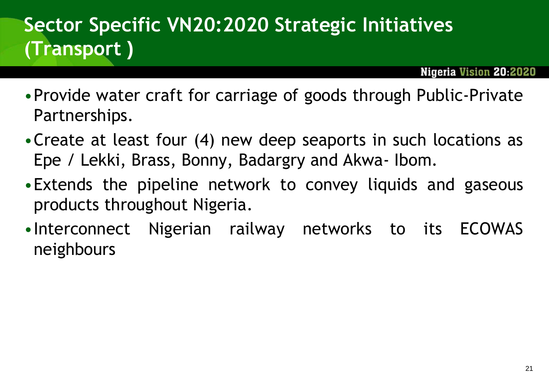## **Sector Specific VN20:2020 Strategic Initiatives (Transport )**

- •Provide water craft for carriage of goods through Public-Private Partnerships.
- •Create at least four (4) new deep seaports in such locations as Epe / Lekki, Brass, Bonny, Badargry and Akwa- Ibom.
- •Extends the pipeline network to convey liquids and gaseous products throughout Nigeria.
- •Interconnect Nigerian railway networks to its ECOWAS neighbours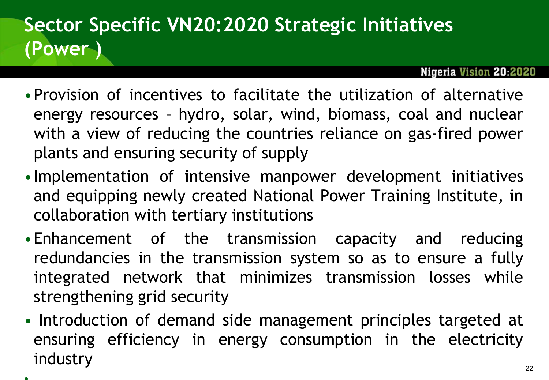## **Sector Specific VN20:2020 Strategic Initiatives (Power )**

- •Provision of incentives to facilitate the utilization of alternative energy resources – hydro, solar, wind, biomass, coal and nuclear with a view of reducing the countries reliance on gas-fired power plants and ensuring security of supply
- •Implementation of intensive manpower development initiatives and equipping newly created National Power Training Institute, in collaboration with tertiary institutions
- •Enhancement of the transmission capacity and reducing redundancies in the transmission system so as to ensure a fully integrated network that minimizes transmission losses while strengthening grid security
- Introduction of demand side management principles targeted at ensuring efficiency in energy consumption in the electricity industry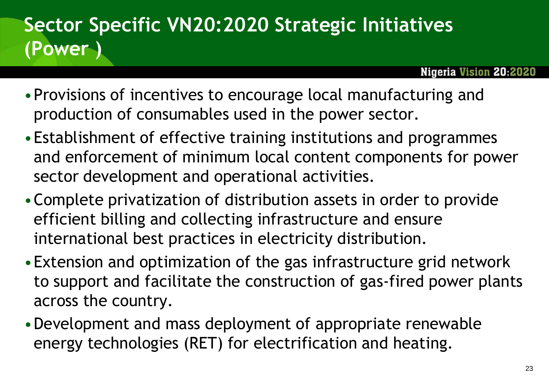## **Sector Specific VN20:2020 Strategic Initiatives (Power )**

- •Provisions of incentives to encourage local manufacturing and production of consumables used in the power sector.
- •Establishment of effective training institutions and programmes and enforcement of minimum local content components for power sector development and operational activities.
- •Complete privatization of distribution assets in order to provide efficient billing and collecting infrastructure and ensure international best practices in electricity distribution.
- •Extension and optimization of the gas infrastructure grid network to support and facilitate the construction of gas-fired power plants across the country.
- •Development and mass deployment of appropriate renewable energy technologies (RET) for electrification and heating.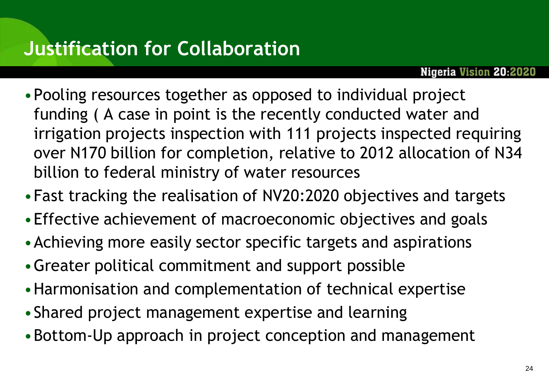- •Pooling resources together as opposed to individual project funding ( A case in point is the recently conducted water and irrigation projects inspection with 111 projects inspected requiring over N170 billion for completion, relative to 2012 allocation of N34 billion to federal ministry of water resources
- •Fast tracking the realisation of NV20:2020 objectives and targets
- •Effective achievement of macroeconomic objectives and goals
- •Achieving more easily sector specific targets and aspirations
- •Greater political commitment and support possible
- •Harmonisation and complementation of technical expertise
- •Shared project management expertise and learning
- •Bottom-Up approach in project conception and management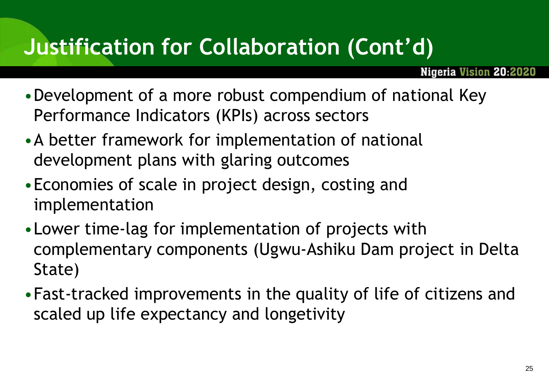## **Justification for Collaboration (Cont'd)**

- •Development of a more robust compendium of national Key Performance Indicators (KPIs) across sectors
- •A better framework for implementation of national development plans with glaring outcomes
- •Economies of scale in project design, costing and implementation
- •Lower time-lag for implementation of projects with complementary components (Ugwu-Ashiku Dam project in Delta State)
- •Fast-tracked improvements in the quality of life of citizens and scaled up life expectancy and longetivity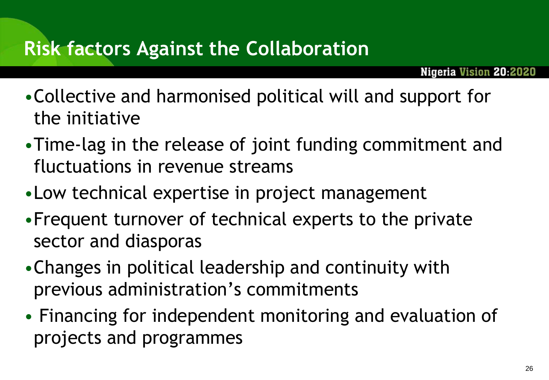#### **Risk factors Against the Collaboration**

- •Collective and harmonised political will and support for the initiative
- •Time-lag in the release of joint funding commitment and fluctuations in revenue streams
- •Low technical expertise in project management
- •Frequent turnover of technical experts to the private sector and diasporas
- •Changes in political leadership and continuity with previous administration's commitments
- Financing for independent monitoring and evaluation of projects and programmes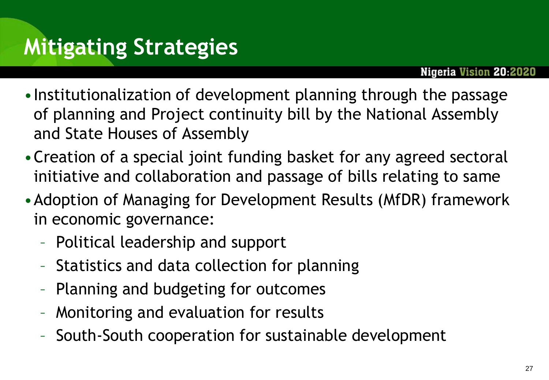- •Institutionalization of development planning through the passage of planning and Project continuity bill by the National Assembly and State Houses of Assembly
- •Creation of a special joint funding basket for any agreed sectoral initiative and collaboration and passage of bills relating to same
- •Adoption of Managing for Development Results (MfDR) framework in economic governance:
	- Political leadership and support
	- Statistics and data collection for planning
	- Planning and budgeting for outcomes
	- Monitoring and evaluation for results
	- South-South cooperation for sustainable development